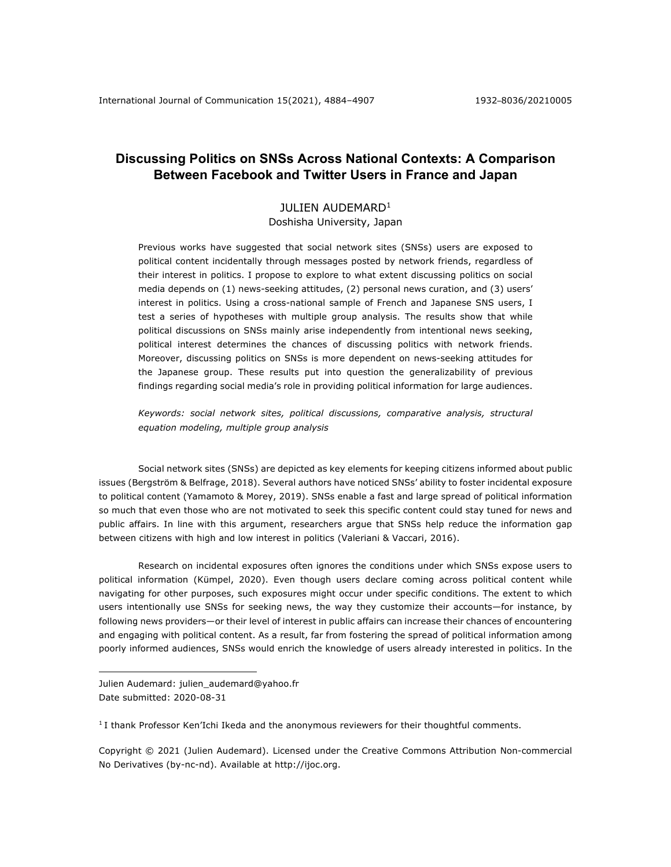# **Discussing Politics on SNSs Across National Contexts: A Comparison Between Facebook and Twitter Users in France and Japan**

# JULIEN AUDEMARD<sup>1</sup>

Doshisha University, Japan

Previous works have suggested that social network sites (SNSs) users are exposed to political content incidentally through messages posted by network friends, regardless of their interest in politics. I propose to explore to what extent discussing politics on social media depends on (1) news-seeking attitudes, (2) personal news curation, and (3) users' interest in politics. Using a cross-national sample of French and Japanese SNS users, I test a series of hypotheses with multiple group analysis. The results show that while political discussions on SNSs mainly arise independently from intentional news seeking, political interest determines the chances of discussing politics with network friends. Moreover, discussing politics on SNSs is more dependent on news-seeking attitudes for the Japanese group. These results put into question the generalizability of previous findings regarding social media's role in providing political information for large audiences.

*Keywords: social network sites, political discussions, comparative analysis, structural equation modeling, multiple group analysis*

Social network sites (SNSs) are depicted as key elements for keeping citizens informed about public issues (Bergström & Belfrage, 2018). Several authors have noticed SNSs' ability to foster incidental exposure to political content (Yamamoto & Morey, 2019). SNSs enable a fast and large spread of political information so much that even those who are not motivated to seek this specific content could stay tuned for news and public affairs. In line with this argument, researchers argue that SNSs help reduce the information gap between citizens with high and low interest in politics (Valeriani & Vaccari, 2016).

Research on incidental exposures often ignores the conditions under which SNSs expose users to political information (Kümpel, 2020). Even though users declare coming across political content while navigating for other purposes, such exposures might occur under specific conditions. The extent to which users intentionally use SNSs for seeking news, the way they customize their accounts—for instance, by following news providers—or their level of interest in public affairs can increase their chances of encountering and engaging with political content. As a result, far from fostering the spread of political information among poorly informed audiences, SNSs would enrich the knowledge of users already interested in politics. In the

Julien Audemard: julien\_audemard@yahoo.fr Date submitted: 2020-08-31

<sup>1</sup> I thank Professor Ken'Ichi Ikeda and the anonymous reviewers for their thoughtful comments.

Copyright © 2021 (Julien Audemard). Licensed under the Creative Commons Attribution Non-commercial No Derivatives (by-nc-nd). Available at http://ijoc.org.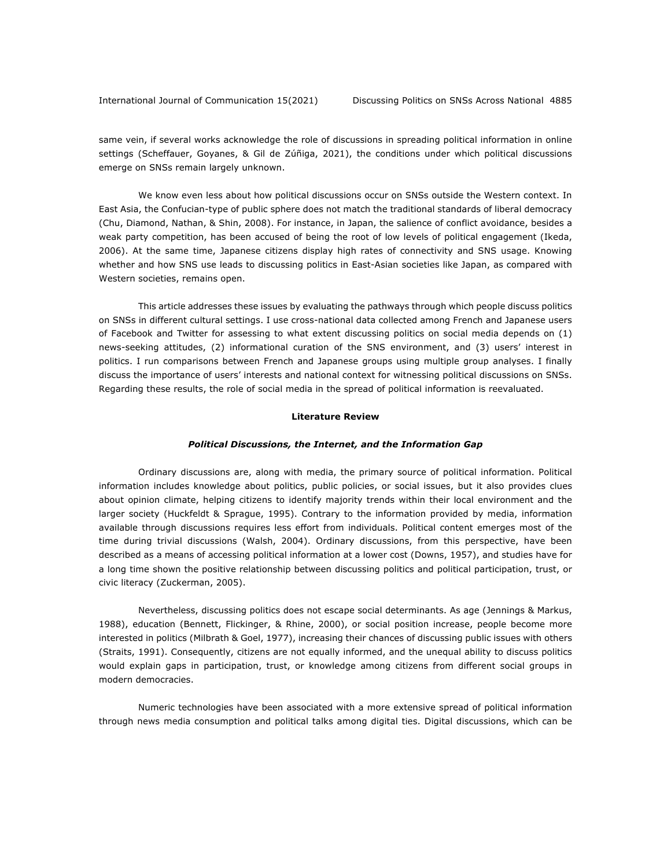same vein, if several works acknowledge the role of discussions in spreading political information in online settings (Scheffauer, Goyanes, & Gil de Zúñiga, 2021), the conditions under which political discussions emerge on SNSs remain largely unknown.

We know even less about how political discussions occur on SNSs outside the Western context. In East Asia, the Confucian-type of public sphere does not match the traditional standards of liberal democracy (Chu, Diamond, Nathan, & Shin, 2008). For instance, in Japan, the salience of conflict avoidance, besides a weak party competition, has been accused of being the root of low levels of political engagement (Ikeda, 2006). At the same time, Japanese citizens display high rates of connectivity and SNS usage. Knowing whether and how SNS use leads to discussing politics in East-Asian societies like Japan, as compared with Western societies, remains open.

This article addresses these issues by evaluating the pathways through which people discuss politics on SNSs in different cultural settings. I use cross-national data collected among French and Japanese users of Facebook and Twitter for assessing to what extent discussing politics on social media depends on (1) news-seeking attitudes, (2) informational curation of the SNS environment, and (3) users' interest in politics. I run comparisons between French and Japanese groups using multiple group analyses. I finally discuss the importance of users' interests and national context for witnessing political discussions on SNSs. Regarding these results, the role of social media in the spread of political information is reevaluated.

#### **Literature Review**

#### *Political Discussions, the Internet, and the Information Gap*

Ordinary discussions are, along with media, the primary source of political information. Political information includes knowledge about politics, public policies, or social issues, but it also provides clues about opinion climate, helping citizens to identify majority trends within their local environment and the larger society (Huckfeldt & Sprague, 1995). Contrary to the information provided by media, information available through discussions requires less effort from individuals. Political content emerges most of the time during trivial discussions (Walsh, 2004). Ordinary discussions, from this perspective, have been described as a means of accessing political information at a lower cost (Downs, 1957), and studies have for a long time shown the positive relationship between discussing politics and political participation, trust, or civic literacy (Zuckerman, 2005).

Nevertheless, discussing politics does not escape social determinants. As age (Jennings & Markus, 1988), education (Bennett, Flickinger, & Rhine, 2000), or social position increase, people become more interested in politics (Milbrath & Goel, 1977), increasing their chances of discussing public issues with others (Straits, 1991). Consequently, citizens are not equally informed, and the unequal ability to discuss politics would explain gaps in participation, trust, or knowledge among citizens from different social groups in modern democracies.

Numeric technologies have been associated with a more extensive spread of political information through news media consumption and political talks among digital ties. Digital discussions, which can be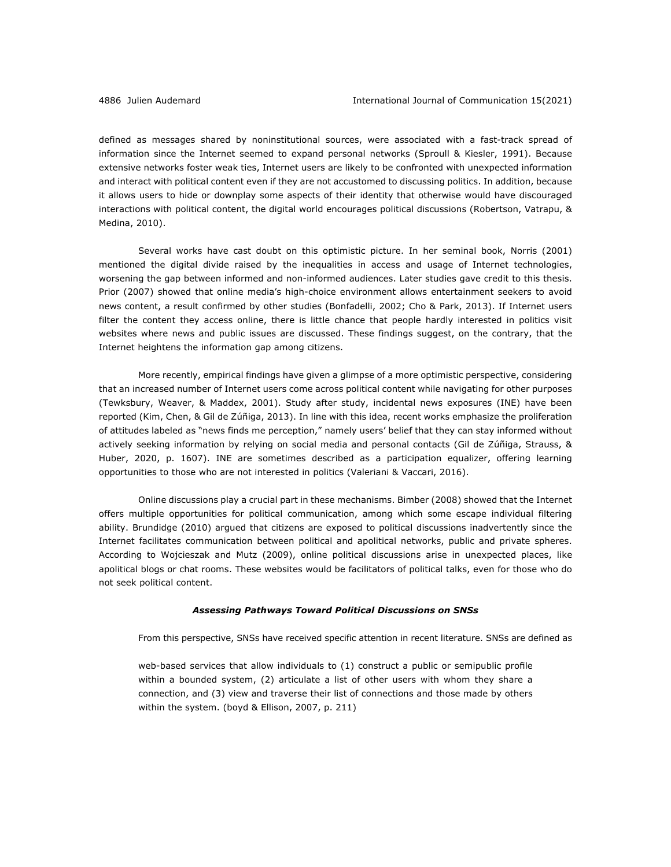defined as messages shared by noninstitutional sources, were associated with a fast-track spread of information since the Internet seemed to expand personal networks (Sproull & Kiesler, 1991). Because extensive networks foster weak ties, Internet users are likely to be confronted with unexpected information and interact with political content even if they are not accustomed to discussing politics. In addition, because it allows users to hide or downplay some aspects of their identity that otherwise would have discouraged interactions with political content, the digital world encourages political discussions (Robertson, Vatrapu, & Medina, 2010).

Several works have cast doubt on this optimistic picture. In her seminal book, Norris (2001) mentioned the digital divide raised by the inequalities in access and usage of Internet technologies, worsening the gap between informed and non-informed audiences. Later studies gave credit to this thesis. Prior (2007) showed that online media's high-choice environment allows entertainment seekers to avoid news content, a result confirmed by other studies (Bonfadelli, 2002; Cho & Park, 2013). If Internet users filter the content they access online, there is little chance that people hardly interested in politics visit websites where news and public issues are discussed. These findings suggest, on the contrary, that the Internet heightens the information gap among citizens.

More recently, empirical findings have given a glimpse of a more optimistic perspective, considering that an increased number of Internet users come across political content while navigating for other purposes (Tewksbury, Weaver, & Maddex, 2001). Study after study, incidental news exposures (INE) have been reported (Kim, Chen, & Gil de Zúñiga, 2013). In line with this idea, recent works emphasize the proliferation of attitudes labeled as "news finds me perception," namely users' belief that they can stay informed without actively seeking information by relying on social media and personal contacts (Gil de Zúñiga, Strauss, & Huber, 2020, p. 1607). INE are sometimes described as a participation equalizer, offering learning opportunities to those who are not interested in politics (Valeriani & Vaccari, 2016).

Online discussions play a crucial part in these mechanisms. Bimber (2008) showed that the Internet offers multiple opportunities for political communication, among which some escape individual filtering ability. Brundidge (2010) argued that citizens are exposed to political discussions inadvertently since the Internet facilitates communication between political and apolitical networks, public and private spheres. According to Wojcieszak and Mutz (2009), online political discussions arise in unexpected places, like apolitical blogs or chat rooms. These websites would be facilitators of political talks, even for those who do not seek political content.

### *Assessing Pathways Toward Political Discussions on SNSs*

From this perspective, SNSs have received specific attention in recent literature. SNSs are defined as

web-based services that allow individuals to (1) construct a public or semipublic profile within a bounded system, (2) articulate a list of other users with whom they share a connection, and (3) view and traverse their list of connections and those made by others within the system. (boyd & Ellison, 2007, p. 211)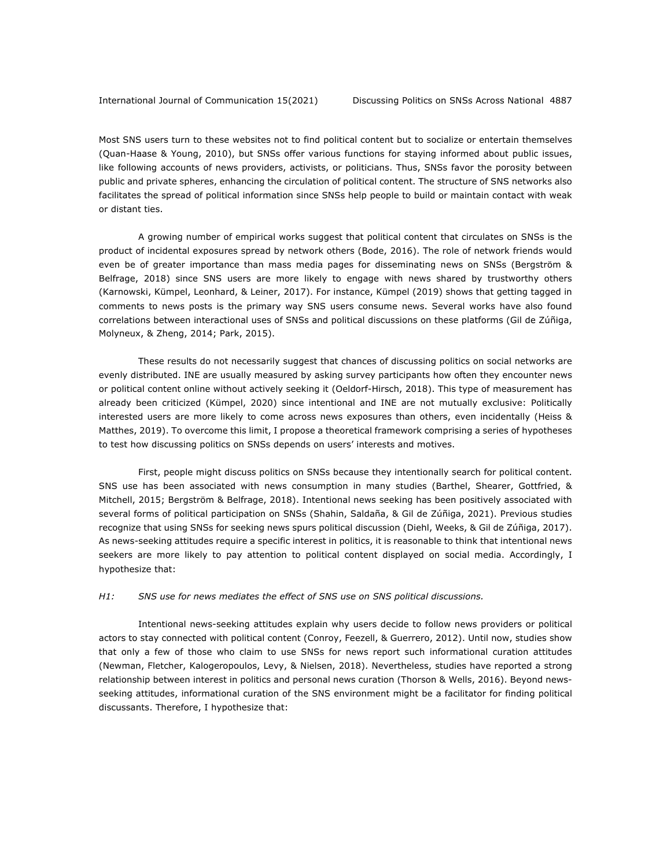Most SNS users turn to these websites not to find political content but to socialize or entertain themselves (Quan-Haase & Young, 2010), but SNSs offer various functions for staying informed about public issues, like following accounts of news providers, activists, or politicians. Thus, SNSs favor the porosity between public and private spheres, enhancing the circulation of political content. The structure of SNS networks also facilitates the spread of political information since SNSs help people to build or maintain contact with weak or distant ties.

A growing number of empirical works suggest that political content that circulates on SNSs is the product of incidental exposures spread by network others (Bode, 2016). The role of network friends would even be of greater importance than mass media pages for disseminating news on SNSs (Bergström & Belfrage, 2018) since SNS users are more likely to engage with news shared by trustworthy others (Karnowski, Kümpel, Leonhard, & Leiner, 2017). For instance, Kümpel (2019) shows that getting tagged in comments to news posts is the primary way SNS users consume news. Several works have also found correlations between interactional uses of SNSs and political discussions on these platforms (Gil de Zúñiga, Molyneux, & Zheng, 2014; Park, 2015).

These results do not necessarily suggest that chances of discussing politics on social networks are evenly distributed. INE are usually measured by asking survey participants how often they encounter news or political content online without actively seeking it (Oeldorf-Hirsch, 2018). This type of measurement has already been criticized (Kümpel, 2020) since intentional and INE are not mutually exclusive: Politically interested users are more likely to come across news exposures than others, even incidentally (Heiss & Matthes, 2019). To overcome this limit, I propose a theoretical framework comprising a series of hypotheses to test how discussing politics on SNSs depends on users' interests and motives.

First, people might discuss politics on SNSs because they intentionally search for political content. SNS use has been associated with news consumption in many studies (Barthel, Shearer, Gottfried, & Mitchell, 2015; Bergström & Belfrage, 2018). Intentional news seeking has been positively associated with several forms of political participation on SNSs (Shahin, Saldaña, & Gil de Zúñiga, 2021). Previous studies recognize that using SNSs for seeking news spurs political discussion (Diehl, Weeks, & Gil de Zúñiga, 2017). As news-seeking attitudes require a specific interest in politics, it is reasonable to think that intentional news seekers are more likely to pay attention to political content displayed on social media. Accordingly, I hypothesize that:

#### *H1: SNS use for news mediates the effect of SNS use on SNS political discussions.*

Intentional news-seeking attitudes explain why users decide to follow news providers or political actors to stay connected with political content (Conroy, Feezell, & Guerrero, 2012). Until now, studies show that only a few of those who claim to use SNSs for news report such informational curation attitudes (Newman, Fletcher, Kalogeropoulos, Levy, & Nielsen, 2018). Nevertheless, studies have reported a strong relationship between interest in politics and personal news curation (Thorson & Wells, 2016). Beyond newsseeking attitudes, informational curation of the SNS environment might be a facilitator for finding political discussants. Therefore, I hypothesize that: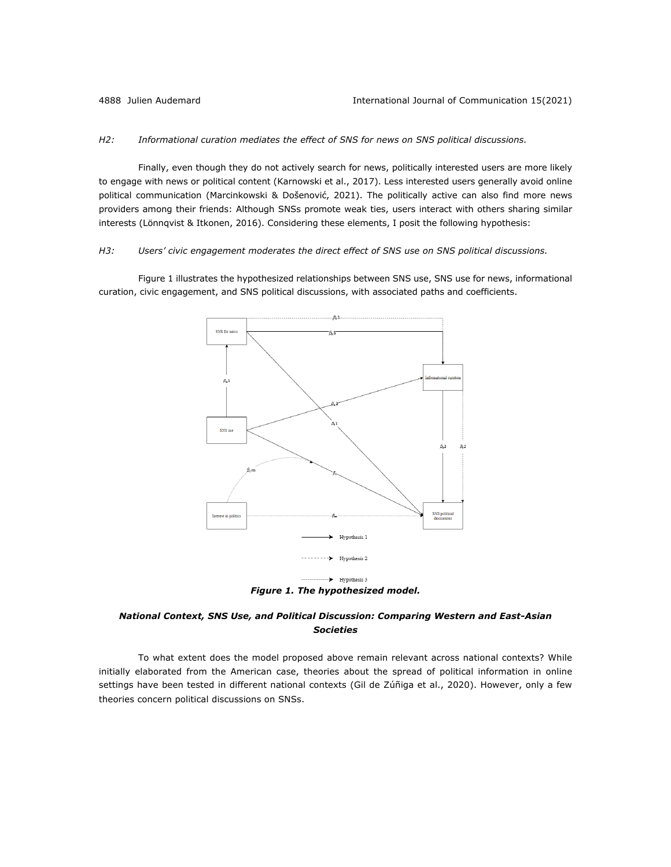#### *H2: Informational curation mediates the effect of SNS for news on SNS political discussions.*

Finally, even though they do not actively search for news, politically interested users are more likely to engage with news or political content (Karnowski et al., 2017). Less interested users generally avoid online political communication (Marcinkowski & Došenović, 2021). The politically active can also find more news providers among their friends: Although SNSs promote weak ties, users interact with others sharing similar interests (Lönnqvist & Itkonen, 2016). Considering these elements, I posit the following hypothesis:

#### *H3: Users' civic engagement moderates the direct effect of SNS use on SNS political discussions.*

Figure 1 illustrates the hypothesized relationships between SNS use, SNS use for news, informational curation, civic engagement, and SNS political discussions, with associated paths and coefficients.



## *National Context, SNS Use, and Political Discussion: Comparing Western and East-Asian Societies*

To what extent does the model proposed above remain relevant across national contexts? While initially elaborated from the American case, theories about the spread of political information in online settings have been tested in different national contexts (Gil de Zúñiga et al., 2020). However, only a few theories concern political discussions on SNSs.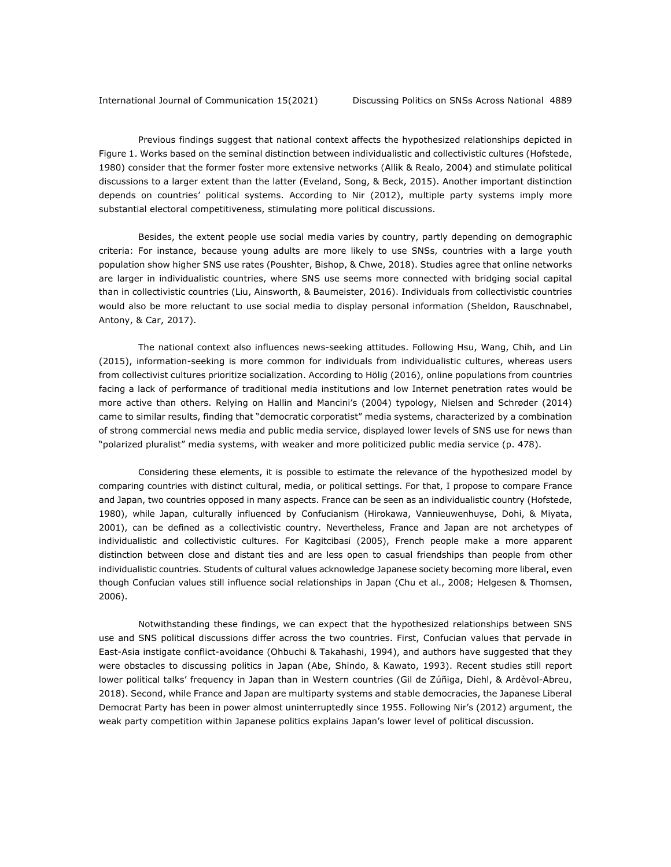Previous findings suggest that national context affects the hypothesized relationships depicted in Figure 1. Works based on the seminal distinction between individualistic and collectivistic cultures (Hofstede, 1980) consider that the former foster more extensive networks (Allik & Realo, 2004) and stimulate political discussions to a larger extent than the latter (Eveland, Song, & Beck, 2015). Another important distinction depends on countries' political systems. According to Nir (2012), multiple party systems imply more substantial electoral competitiveness, stimulating more political discussions.

Besides, the extent people use social media varies by country, partly depending on demographic criteria: For instance, because young adults are more likely to use SNSs, countries with a large youth population show higher SNS use rates (Poushter, Bishop, & Chwe, 2018). Studies agree that online networks are larger in individualistic countries, where SNS use seems more connected with bridging social capital than in collectivistic countries (Liu, Ainsworth, & Baumeister, 2016). Individuals from collectivistic countries would also be more reluctant to use social media to display personal information (Sheldon, Rauschnabel, Antony, & Car, 2017).

The national context also influences news-seeking attitudes. Following Hsu, Wang, Chih, and Lin (2015), information-seeking is more common for individuals from individualistic cultures, whereas users from collectivist cultures prioritize socialization. According to Hölig (2016), online populations from countries facing a lack of performance of traditional media institutions and low Internet penetration rates would be more active than others. Relying on Hallin and Mancini's (2004) typology, Nielsen and Schrøder (2014) came to similar results, finding that "democratic corporatist" media systems, characterized by a combination of strong commercial news media and public media service, displayed lower levels of SNS use for news than "polarized pluralist" media systems, with weaker and more politicized public media service (p. 478).

Considering these elements, it is possible to estimate the relevance of the hypothesized model by comparing countries with distinct cultural, media, or political settings. For that, I propose to compare France and Japan, two countries opposed in many aspects. France can be seen as an individualistic country (Hofstede, 1980), while Japan, culturally influenced by Confucianism (Hirokawa, Vannieuwenhuyse, Dohi, & Miyata, 2001), can be defined as a collectivistic country. Nevertheless, France and Japan are not archetypes of individualistic and collectivistic cultures. For Kagitcibasi (2005), French people make a more apparent distinction between close and distant ties and are less open to casual friendships than people from other individualistic countries. Students of cultural values acknowledge Japanese society becoming more liberal, even though Confucian values still influence social relationships in Japan (Chu et al., 2008; Helgesen & Thomsen, 2006).

Notwithstanding these findings, we can expect that the hypothesized relationships between SNS use and SNS political discussions differ across the two countries. First, Confucian values that pervade in East-Asia instigate conflict-avoidance (Ohbuchi & Takahashi, 1994), and authors have suggested that they were obstacles to discussing politics in Japan (Abe, Shindo, & Kawato, 1993). Recent studies still report lower political talks' frequency in Japan than in Western countries (Gil de Zúñiga, Diehl, & Ardèvol-Abreu, 2018). Second, while France and Japan are multiparty systems and stable democracies, the Japanese Liberal Democrat Party has been in power almost uninterruptedly since 1955. Following Nir's (2012) argument, the weak party competition within Japanese politics explains Japan's lower level of political discussion.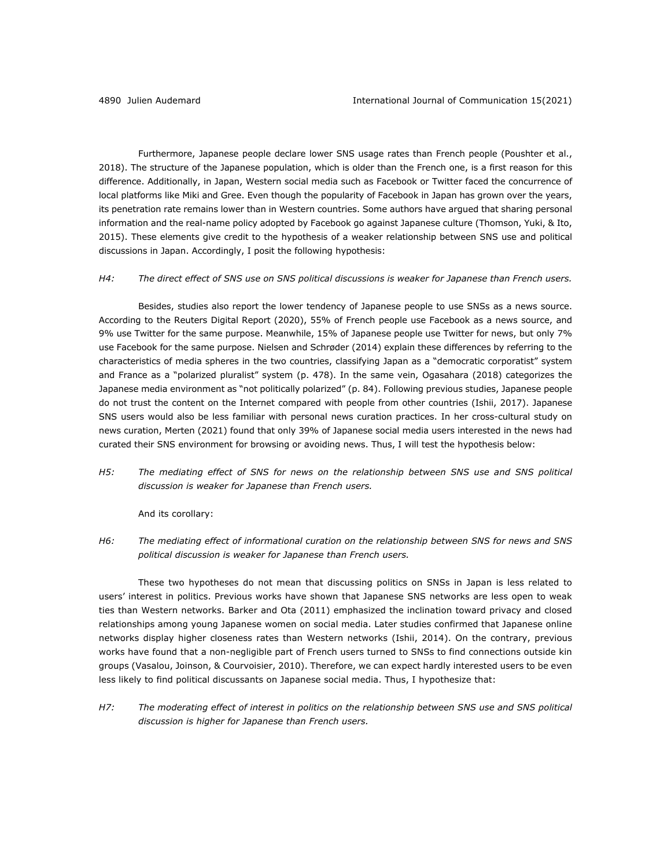Furthermore, Japanese people declare lower SNS usage rates than French people (Poushter et al., 2018). The structure of the Japanese population, which is older than the French one, is a first reason for this difference. Additionally, in Japan, Western social media such as Facebook or Twitter faced the concurrence of local platforms like Miki and Gree. Even though the popularity of Facebook in Japan has grown over the years, its penetration rate remains lower than in Western countries. Some authors have argued that sharing personal information and the real-name policy adopted by Facebook go against Japanese culture (Thomson, Yuki, & Ito, 2015). These elements give credit to the hypothesis of a weaker relationship between SNS use and political discussions in Japan. Accordingly, I posit the following hypothesis:

#### *H4: The direct effect of SNS use on SNS political discussions is weaker for Japanese than French users.*

Besides, studies also report the lower tendency of Japanese people to use SNSs as a news source. According to the Reuters Digital Report (2020), 55% of French people use Facebook as a news source, and 9% use Twitter for the same purpose. Meanwhile, 15% of Japanese people use Twitter for news, but only 7% use Facebook for the same purpose. Nielsen and Schrøder (2014) explain these differences by referring to the characteristics of media spheres in the two countries, classifying Japan as a "democratic corporatist" system and France as a "polarized pluralist" system (p. 478). In the same vein, Ogasahara (2018) categorizes the Japanese media environment as "not politically polarized" (p. 84). Following previous studies, Japanese people do not trust the content on the Internet compared with people from other countries (Ishii, 2017). Japanese SNS users would also be less familiar with personal news curation practices. In her cross-cultural study on news curation, Merten (2021) found that only 39% of Japanese social media users interested in the news had curated their SNS environment for browsing or avoiding news. Thus, I will test the hypothesis below:

*H5: The mediating effect of SNS for news on the relationship between SNS use and SNS political discussion is weaker for Japanese than French users.*

And its corollary:

*H6: The mediating effect of informational curation on the relationship between SNS for news and SNS political discussion is weaker for Japanese than French users.*

These two hypotheses do not mean that discussing politics on SNSs in Japan is less related to users' interest in politics. Previous works have shown that Japanese SNS networks are less open to weak ties than Western networks. Barker and Ota (2011) emphasized the inclination toward privacy and closed relationships among young Japanese women on social media. Later studies confirmed that Japanese online networks display higher closeness rates than Western networks (Ishii, 2014). On the contrary, previous works have found that a non-negligible part of French users turned to SNSs to find connections outside kin groups (Vasalou, Joinson, & Courvoisier, 2010). Therefore, we can expect hardly interested users to be even less likely to find political discussants on Japanese social media. Thus, I hypothesize that:

*H7: The moderating effect of interest in politics on the relationship between SNS use and SNS political discussion is higher for Japanese than French users.*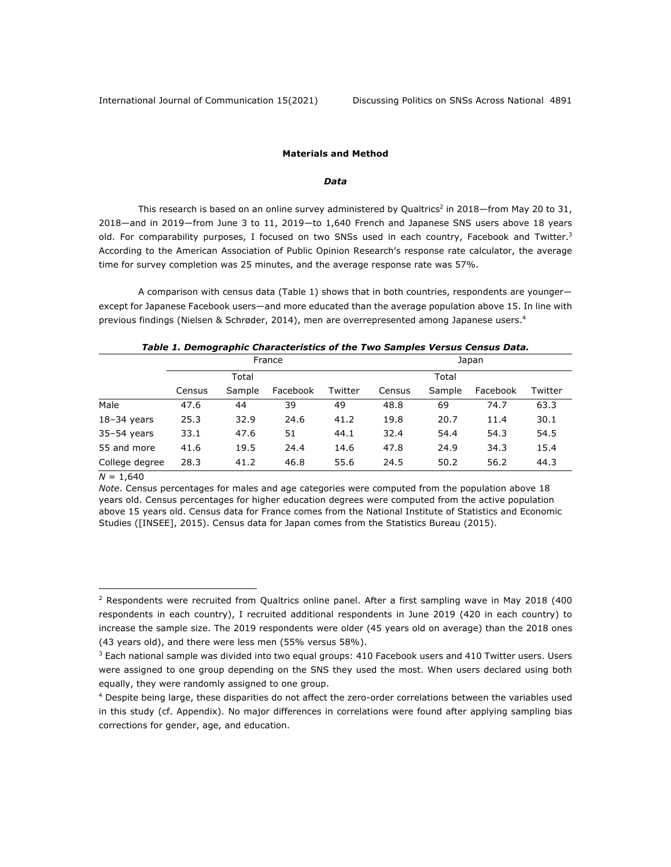#### **Materials and Method**

#### *Data*

This research is based on an online survey administered by Qualtrics<sup>2</sup> in 2018—from May 20 to 31, 2018—and in 2019—from June 3 to 11, 2019—to 1,640 French and Japanese SNS users above 18 years old. For comparability purposes, I focused on two SNSs used in each country, Facebook and Twitter.<sup>3</sup> According to the American Association of Public Opinion Research's response rate calculator, the average time for survey completion was 25 minutes, and the average response rate was 57%.

A comparison with census data (Table 1) shows that in both countries, respondents are younger except for Japanese Facebook users—and more educated than the average population above 15. In line with previous findings (Nielsen & Schrøder, 2014), men are overrepresented among Japanese users.4

| Table 1. Demographic Characteristics of the Two Samples Versus Census Data. |  |
|-----------------------------------------------------------------------------|--|
|                                                                             |  |

|                |        |        | France   |         | Japan  |        |          |         |  |
|----------------|--------|--------|----------|---------|--------|--------|----------|---------|--|
|                |        | Total  |          |         |        | Total  |          |         |  |
|                | Census | Sample | Facebook | Twitter | Census | Sample | Facebook | Twitter |  |
| Male           | 47.6   | 44     | 39       | 49      | 48.8   | 69     | 74.7     | 63.3    |  |
| $18-34$ years  | 25.3   | 32.9   | 24.6     | 41.2    | 19.8   | 20.7   | 11.4     | 30.1    |  |
| $35-54$ years  | 33.1   | 47.6   | 51       | 44.1    | 32.4   | 54.4   | 54.3     | 54.5    |  |
| 55 and more    | 41.6   | 19.5   | 24.4     | 14.6    | 47.8   | 24.9   | 34.3     | 15.4    |  |
| College degree | 28.3   | 41.2   | 46.8     | 55.6    | 24.5   | 50.2   | 56.2     | 44.3    |  |

 $N = 1,640$ 

*Note*. Census percentages for males and age categories were computed from the population above 18 years old. Census percentages for higher education degrees were computed from the active population above 15 years old. Census data for France comes from the National Institute of Statistics and Economic Studies ([INSEE], 2015). Census data for Japan comes from the Statistics Bureau (2015).

 $2$  Respondents were recruited from Qualtrics online panel. After a first sampling wave in May 2018 (400 respondents in each country), I recruited additional respondents in June 2019 (420 in each country) to increase the sample size. The 2019 respondents were older (45 years old on average) than the 2018 ones (43 years old), and there were less men (55% versus 58%).

 $3$  Each national sample was divided into two equal groups: 410 Facebook users and 410 Twitter users. Users were assigned to one group depending on the SNS they used the most. When users declared using both equally, they were randomly assigned to one group.

<sup>&</sup>lt;sup>4</sup> Despite being large, these disparities do not affect the zero-order correlations between the variables used in this study (cf. Appendix). No major differences in correlations were found after applying sampling bias corrections for gender, age, and education.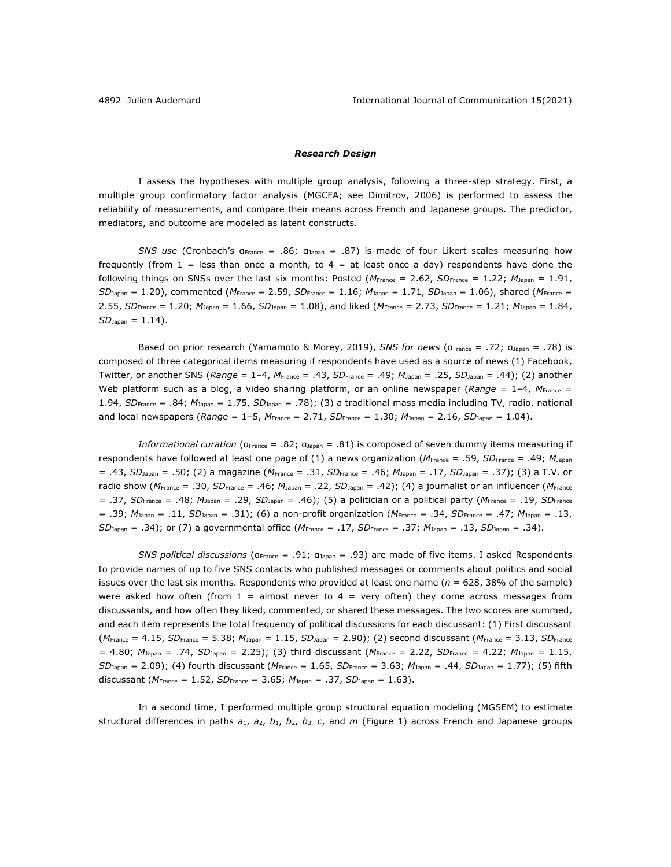#### *Research Design*

I assess the hypotheses with multiple group analysis, following a three-step strategy. First, a multiple group confirmatory factor analysis (MGCFA; see Dimitrov, 2006) is performed to assess the reliability of measurements, and compare their means across French and Japanese groups. The predictor, mediators, and outcome are modeled as latent constructs.

*SNS use* (Cronbach's αFrance = .86; αJapan = .87) is made of four Likert scales measuring how frequently (from  $1 =$  less than once a month, to  $4 =$  at least once a day) respondents have done the following things on SNSs over the last six months: Posted ( $M_{\text{France}} = 2.62$ ,  $SD_{\text{France}} = 1.22$ ;  $M_{\text{Japan}} = 1.91$ , *SD*Japan = 1.20), commented (*M*France = 2.59, *SD*France = 1.16; *M*Japan = 1.71, *SD*Japan = 1.06), shared (*M*France = 2.55, *SD*France = 1.20; *M*Japan = 1.66, *SD*Japan = 1.08), and liked (*M*France = 2.73, *SD*France = 1.21; *M*Japan = 1.84,  $SD_{Japan} = 1.14$ .

Based on prior research (Yamamoto & Morey, 2019), *SNS for news* (αFrance = .72; αJapan = .78) is composed of three categorical items measuring if respondents have used as a source of news (1) Facebook, Twitter, or another SNS (*Range* = 1–4, *M*France = .43, *SD*France = .49; *M*Japan = .25, *SD*Japan = .44); (2) another Web platform such as a blog, a video sharing platform, or an online newspaper (Range = 1-4, M<sub>France</sub> = 1.94, *SD*France = .84; *M*Japan = 1.75, *SD*Japan = .78); (3) a traditional mass media including TV, radio, national and local newspapers (*Range* = 1–5, *M*France = 2.71, *SD*France = 1.30; *M*Japan = 2.16, *SD*Japan = 1.04).

*Informational curation* (α<sub>France</sub> = .82; α<sub>Japan</sub> = .81) is composed of seven dummy items measuring if respondents have followed at least one page of (1) a news organization (*M*France = .59, *SD*France = .49; *M*Japan = .43, *SD*Japan = .50; (2) a magazine (*M*France = .31, *SD*France = .46; *M*Japan = .17, *SD*Japan = .37); (3) a T.V. or radio show (*M*France = .30, *SD*France = .46; *M*Japan = .22, *SD*Japan = .42); (4) a journalist or an influencer (*M*France = .37, *SD*France = .48; *M*Japan = .29, *SD*Japan = .46); (5) a politician or a political party (*M*France = .19, *SD*France = .39; *M*Japan = .11, *SD*Japan = .31); (6) a non-profit organization (*M*France = .34, *SD*France = .47; *M*Japan = .13, *SD*Japan = .34); or (7) a governmental office (*M*France = .17, *SD*France = .37; *M*Japan = .13, *SD*Japan = .34).

*SNS political discussions* (α<sub>France</sub> = .91; α<sub>Japan</sub> = .93) are made of five items. I asked Respondents to provide names of up to five SNS contacts who published messages or comments about politics and social issues over the last six months. Respondents who provided at least one name (*n* = 628, 38% of the sample) were asked how often (from  $1 =$  almost never to  $4 =$  very often) they come across messages from discussants, and how often they liked, commented, or shared these messages. The two scores are summed, and each item represents the total frequency of political discussions for each discussant: (1) First discussant (*M*France = 4.15, *SD*France = 5.38; *M*Japan = 1.15, *SD*Japan = 2.90); (2) second discussant (*M*France = 3.13, *SD*France = 4.80; *M*Japan = .74, *SD*Japan = 2.25); (3) third discussant (*M*France = 2.22, *SD*France = 4.22; *M*Japan = 1.15, *SD*Japan = 2.09); (4) fourth discussant (*M*France = 1.65, *SD*France = 3.63; *M*Japan = .44, *SD*Japan = 1.77); (5) fifth discussant (*M*France = 1.52, *SD*France = 3.65; *M*Japan = .37, *SD*Japan = 1.63).

In a second time, I performed multiple group structural equation modeling (MGSEM) to estimate structural differences in paths *a*1, *a*2, *b*1, *b*2, *b*3, *c*, and *m* (Figure 1) across French and Japanese groups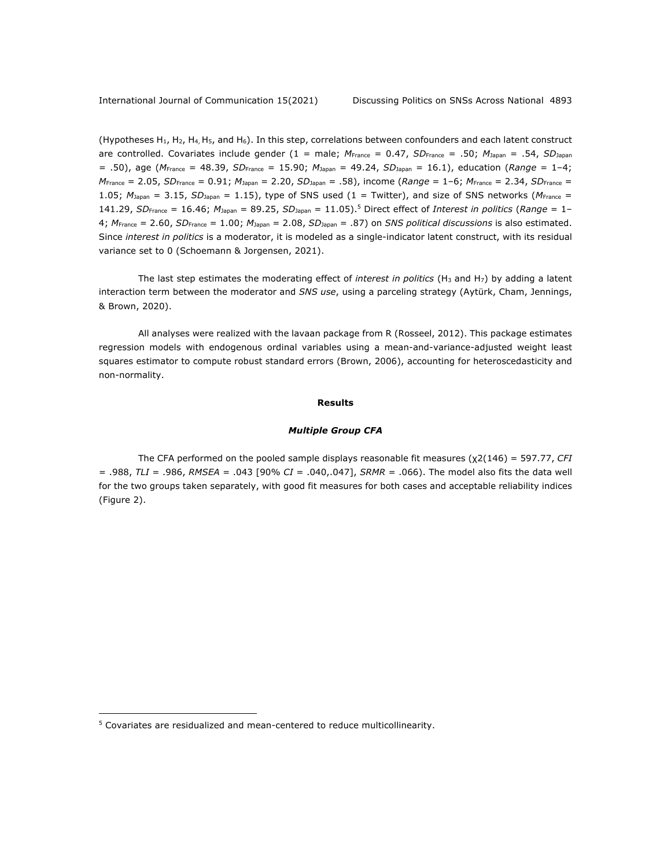(Hypotheses H1, H2, H4, H5, and H6). In this step, correlations between confounders and each latent construct are controlled. Covariates include gender (1 = male; *M*France = 0.47, *SD*France = .50; *M*Japan = .54, *SD*Japan = .50), age (*M*France = 48.39, *SD*France = 15.90; *M*Japan = 49.24, *SD*Japan = 16.1), education (*Range* = 1–4; *M*France = 2.05, *SD*France = 0.91; *M*Japan = 2.20, *SD*Japan = .58), income (*Range* = 1–6; *M*France = 2.34, *SD*France = 1.05; *M*Japan = 3.15, *SD*Japan = 1.15), type of SNS used (1 = Twitter), and size of SNS networks (*M*France = 141.29, *SD*France = 16.46; *M*Japan = 89.25, *SD*Japan = 11.05).5 Direct effect of *Interest in politics* (*Range* = 1– 4; *M*France = 2.60, *SD*France = 1.00; *M*Japan = 2.08, *SD*Japan = .87) on *SNS political discussions* is also estimated. Since *interest in politics* is a moderator, it is modeled as a single-indicator latent construct, with its residual variance set to 0 (Schoemann & Jorgensen, 2021).

The last step estimates the moderating effect of *interest in politics* (H3 and H7) by adding a latent interaction term between the moderator and *SNS use*, using a parceling strategy (Aytürk, Cham, Jennings, & Brown, 2020).

All analyses were realized with the lavaan package from R (Rosseel, 2012). This package estimates regression models with endogenous ordinal variables using a mean-and-variance-adjusted weight least squares estimator to compute robust standard errors (Brown, 2006), accounting for heteroscedasticity and non-normality.

#### **Results**

#### *Multiple Group CFA*

The CFA performed on the pooled sample displays reasonable fit measures (χ2(146) = 597.77, *CFI* = .988, *TLI* = .986, *RMSEA* = .043 [90% *CI* = .040,.047], *SRMR* = .066). The model also fits the data well for the two groups taken separately, with good fit measures for both cases and acceptable reliability indices (Figure 2).

<sup>5</sup> Covariates are residualized and mean-centered to reduce multicollinearity.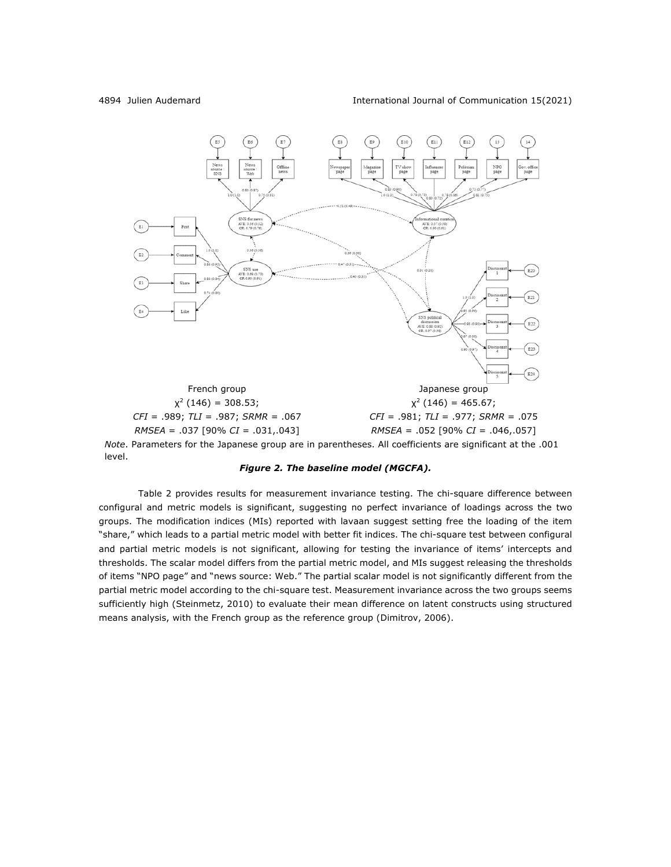

*Note*. Parameters for the Japanese group are in parentheses. All coefficients are significant at the .001 level.



Table 2 provides results for measurement invariance testing. The chi-square difference between configural and metric models is significant, suggesting no perfect invariance of loadings across the two groups. The modification indices (MIs) reported with lavaan suggest setting free the loading of the item "share," which leads to a partial metric model with better fit indices. The chi-square test between configural and partial metric models is not significant, allowing for testing the invariance of items' intercepts and thresholds. The scalar model differs from the partial metric model, and MIs suggest releasing the thresholds of items "NPO page" and "news source: Web." The partial scalar model is not significantly different from the partial metric model according to the chi-square test. Measurement invariance across the two groups seems sufficiently high (Steinmetz, 2010) to evaluate their mean difference on latent constructs using structured means analysis, with the French group as the reference group (Dimitrov, 2006).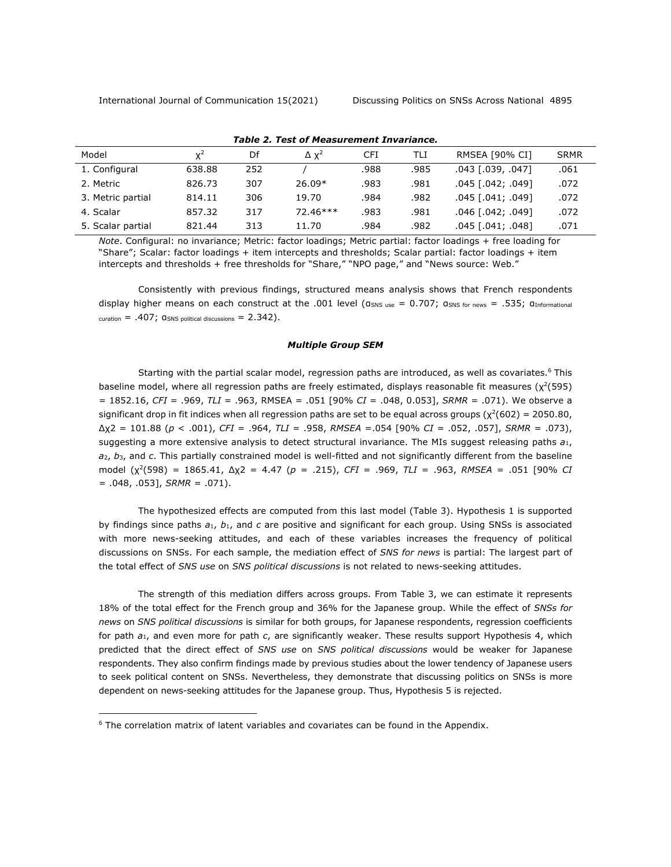| Model             | ¥ <sup>2</sup> | Df  | $\Delta$ $\chi^2$ | CFI  | TLI  | <b>RMSEA [90% CI]</b> | <b>SRMR</b> |
|-------------------|----------------|-----|-------------------|------|------|-----------------------|-------------|
| 1. Configural     | 638.88         | 252 |                   | .988 | .985 | $.043$ $[.039, .047]$ | .061        |
| 2. Metric         | 826.73         | 307 | $26.09*$          | .983 | .981 | $.045$ $[.042; .049]$ | .072        |
| 3. Metric partial | 814.11         | 306 | 19.70             | .984 | .982 | $.045$ $[.041; .049]$ | .072        |
| 4. Scalar         | 857.32         | 317 | $72.46***$        | .983 | .981 | $.046$ $[.042; .049]$ | .072        |
| 5. Scalar partial | 821.44         | 313 | 11.70             | .984 | .982 | $.045$ $[.041; .048]$ | .071        |

#### *Table 2. Test of Measurement Invariance.*

*Note*. Configural: no invariance; Metric: factor loadings; Metric partial: factor loadings + free loading for "Share"; Scalar: factor loadings + item intercepts and thresholds; Scalar partial: factor loadings + item intercepts and thresholds + free thresholds for "Share," "NPO page," and "News source: Web."

Consistently with previous findings, structured means analysis shows that French respondents display higher means on each construct at the .001 level ( $a_{SNS use} = 0.707$ ;  $a_{SNS for news} = .535$ ;  $a_{Informational}$  $curation = .407;$   $Q$ SNS political discussions =  $2.342$ ).

#### *Multiple Group SEM*

Starting with the partial scalar model, regression paths are introduced, as well as covariates.<sup>6</sup> This baseline model, where all regression paths are freely estimated, displays reasonable fit measures ( $\chi^2$ (595) = 1852.16, *CFI* = .969, *TLI* = .963, RMSEA = .051 [90% *CI* = .048, 0.053], *SRMR* = .071). We observe a significant drop in fit indices when all regression paths are set to be equal across groups ( $\chi^2(602) = 2050.80$ , Δχ2 = 101.88 (*p* < .001), *CFI* = .964, *TLI* = .958, *RMSEA* =.054 [90% *CI* = .052, .057], *SRMR* = .073), suggesting a more extensive analysis to detect structural invariance. The MIs suggest releasing paths *a*1, *a*2, *b*3, and *c*. This partially constrained model is well-fitted and not significantly different from the baseline model (χ2(598) = 1865.41, Δχ2 = 4.47 (*p* = .215), *CFI* = .969, *TLI* = .963, *RMSEA* = .051 [90% *CI* = .048, .053], *SRMR* = .071).

The hypothesized effects are computed from this last model (Table 3). Hypothesis 1 is supported by findings since paths *a*1, *b*1, and *c* are positive and significant for each group. Using SNSs is associated with more news-seeking attitudes, and each of these variables increases the frequency of political discussions on SNSs. For each sample, the mediation effect of *SNS for news* is partial: The largest part of the total effect of *SNS use* on *SNS political discussions* is not related to news-seeking attitudes.

The strength of this mediation differs across groups. From Table 3, we can estimate it represents 18% of the total effect for the French group and 36% for the Japanese group. While the effect of *SNSs for news* on *SNS political discussions* is similar for both groups, for Japanese respondents, regression coefficients for path *a*1, and even more for path *c*, are significantly weaker. These results support Hypothesis 4, which predicted that the direct effect of *SNS use* on *SNS political discussions* would be weaker for Japanese respondents. They also confirm findings made by previous studies about the lower tendency of Japanese users to seek political content on SNSs. Nevertheless, they demonstrate that discussing politics on SNSs is more dependent on news-seeking attitudes for the Japanese group. Thus, Hypothesis 5 is rejected.

 $6$  The correlation matrix of latent variables and covariates can be found in the Appendix.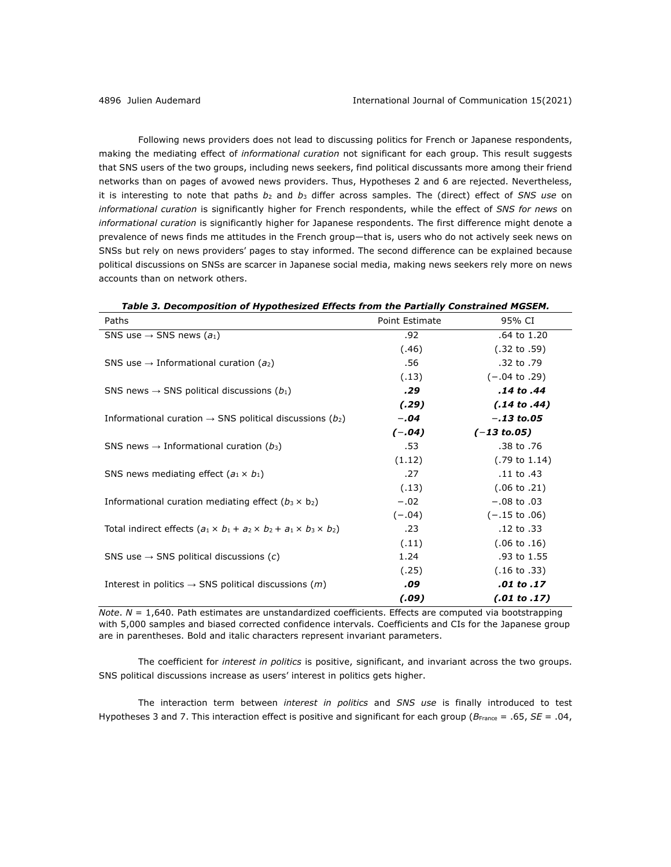Following news providers does not lead to discussing politics for French or Japanese respondents, making the mediating effect of *informational curation* not significant for each group. This result suggests that SNS users of the two groups, including news seekers, find political discussants more among their friend networks than on pages of avowed news providers. Thus, Hypotheses 2 and 6 are rejected. Nevertheless, it is interesting to note that paths *b*<sup>2</sup> and *b*<sup>3</sup> differ across samples. The (direct) effect of *SNS use* on *informational curation* is significantly higher for French respondents, while the effect of *SNS for news* on *informational curation* is significantly higher for Japanese respondents. The first difference might denote a prevalence of news finds me attitudes in the French group—that is, users who do not actively seek news on SNSs but rely on news providers' pages to stay informed. The second difference can be explained because political discussions on SNSs are scarcer in Japanese social media, making news seekers rely more on news accounts than on network others.

| Paths                                                                                  | Point Estimate | 95% CI                   |
|----------------------------------------------------------------------------------------|----------------|--------------------------|
| SNS use $\rightarrow$ SNS news (a <sub>1</sub> )                                       | .92            | .64 to 1.20              |
|                                                                                        | (.46)          | $(.32 \text{ to } .59)$  |
| SNS use $\rightarrow$ Informational curation (a <sub>2</sub> )                         | .56            | .32 to .79               |
|                                                                                        | (.13)          | $(-.04 \text{ to } .29)$ |
| SNS news $\rightarrow$ SNS political discussions ( $b_1$ )                             | .29            | .14 to .44               |
|                                                                                        | (.29)          | $(.14 \text{ to } .44)$  |
| Informational curation $\rightarrow$ SNS political discussions (b <sub>2</sub> )       | $-.04$         | $-.13$ to.05             |
|                                                                                        | $(-.04)$       | $(-13 \text{ to } 05)$   |
| SNS news $\rightarrow$ Informational curation ( $b_3$ )                                | .53            | .38 to .76               |
|                                                                                        | (1.12)         | $(.79 \text{ to } 1.14)$ |
| SNS news mediating effect $(a_1 \times b_1)$                                           | .27            | .11 to .43               |
|                                                                                        | (.13)          | $(.06 \text{ to } .21)$  |
| Informational curation mediating effect $(b_3 \times b_2)$                             | $-.02$         | $-.08$ to $.03$          |
|                                                                                        | $(-.04)$       | $(-.15 \text{ to } .06)$ |
| Total indirect effects $(a_1 \times b_1 + a_2 \times b_2 + a_1 \times b_3 \times b_2)$ | .23            | .12 to .33               |
|                                                                                        | (.11)          | $(.06 \text{ to } .16)$  |

*Table 3. Decomposition of Hypothesized Effects from the Partially Constrained MGSEM.*

*Note*. *N* = 1,640. Path estimates are unstandardized coefficients. Effects are computed via bootstrapping with 5,000 samples and biased corrected confidence intervals. Coefficients and CIs for the Japanese group are in parentheses. Bold and italic characters represent invariant parameters.

(.25)

*(.09)*

.93 to 1.55 (.16 to .33)

*.01 to .17 (.01 to .17)*

SNS use  $\rightarrow$  SNS political discussions (*c*) 1.24

Interest in politics  $\rightarrow$  SNS political discussions  $(m)$  **.09** 

The coefficient for *interest in politics* is positive, significant, and invariant across the two groups. SNS political discussions increase as users' interest in politics gets higher.

The interaction term between *interest in politics* and *SNS use* is finally introduced to test Hypotheses 3 and 7. This interaction effect is positive and significant for each group (*B*France = .65, *SE* = .04,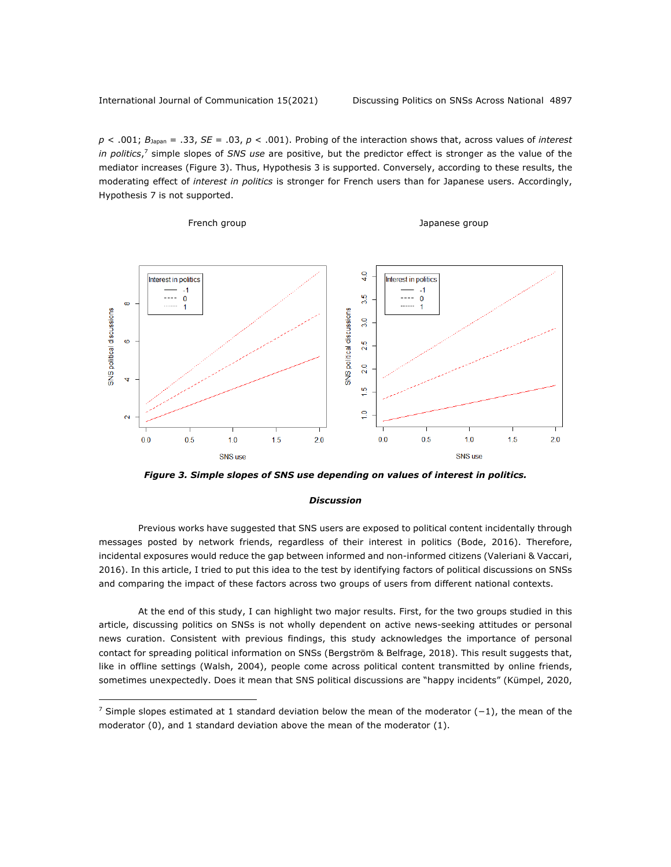*p* < .001; *B*Japan = .33, *SE* = .03, *p* < .001). Probing of the interaction shows that, across values of *interest in politics*, <sup>7</sup> simple slopes of *SNS use* are positive, but the predictor effect is stronger as the value of the mediator increases (Figure 3). Thus, Hypothesis 3 is supported. Conversely, according to these results, the moderating effect of *interest in politics* is stronger for French users than for Japanese users. Accordingly, Hypothesis 7 is not supported.

French group and the state of the state of the Japanese group



*Figure 3. Simple slopes of SNS use depending on values of interest in politics.*

#### *Discussion*

Previous works have suggested that SNS users are exposed to political content incidentally through messages posted by network friends, regardless of their interest in politics (Bode, 2016). Therefore, incidental exposures would reduce the gap between informed and non-informed citizens (Valeriani & Vaccari, 2016). In this article, I tried to put this idea to the test by identifying factors of political discussions on SNSs and comparing the impact of these factors across two groups of users from different national contexts.

At the end of this study, I can highlight two major results. First, for the two groups studied in this article, discussing politics on SNSs is not wholly dependent on active news-seeking attitudes or personal news curation. Consistent with previous findings, this study acknowledges the importance of personal contact for spreading political information on SNSs (Bergström & Belfrage, 2018). This result suggests that, like in offline settings (Walsh, 2004), people come across political content transmitted by online friends, sometimes unexpectedly. Does it mean that SNS political discussions are "happy incidents" (Kümpel, 2020,

<sup>7</sup> Simple slopes estimated at 1 standard deviation below the mean of the moderator (-1), the mean of the moderator (0), and 1 standard deviation above the mean of the moderator (1).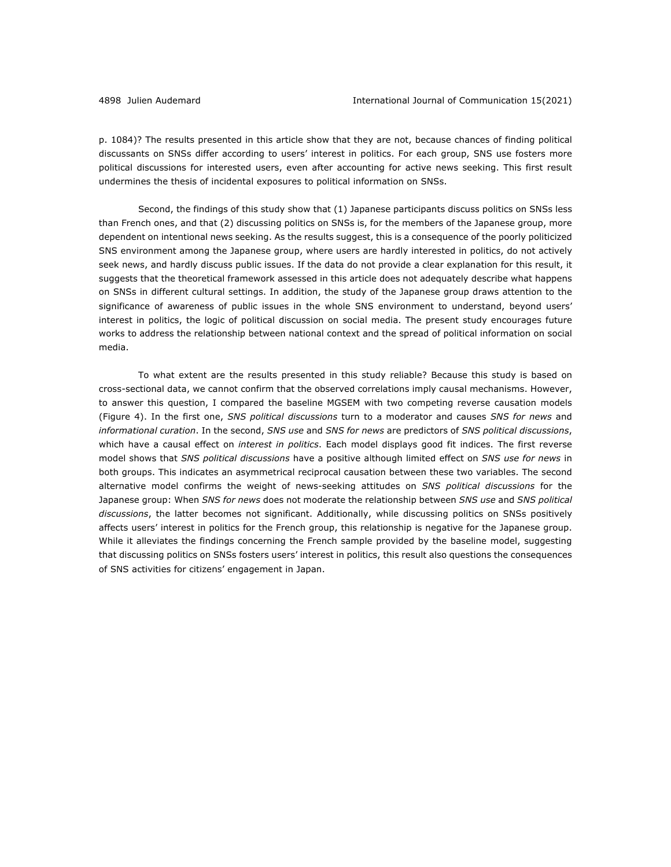p. 1084)? The results presented in this article show that they are not, because chances of finding political discussants on SNSs differ according to users' interest in politics. For each group, SNS use fosters more political discussions for interested users, even after accounting for active news seeking. This first result undermines the thesis of incidental exposures to political information on SNSs.

Second, the findings of this study show that (1) Japanese participants discuss politics on SNSs less than French ones, and that (2) discussing politics on SNSs is, for the members of the Japanese group, more dependent on intentional news seeking. As the results suggest, this is a consequence of the poorly politicized SNS environment among the Japanese group, where users are hardly interested in politics, do not actively seek news, and hardly discuss public issues. If the data do not provide a clear explanation for this result, it suggests that the theoretical framework assessed in this article does not adequately describe what happens on SNSs in different cultural settings. In addition, the study of the Japanese group draws attention to the significance of awareness of public issues in the whole SNS environment to understand, beyond users' interest in politics, the logic of political discussion on social media. The present study encourages future works to address the relationship between national context and the spread of political information on social media.

To what extent are the results presented in this study reliable? Because this study is based on cross-sectional data, we cannot confirm that the observed correlations imply causal mechanisms. However, to answer this question, I compared the baseline MGSEM with two competing reverse causation models (Figure 4). In the first one, *SNS political discussions* turn to a moderator and causes *SNS for news* and *informational curation*. In the second, *SNS use* and *SNS for news* are predictors of *SNS political discussions*, which have a causal effect on *interest in politics*. Each model displays good fit indices. The first reverse model shows that *SNS political discussions* have a positive although limited effect on *SNS use for news* in both groups. This indicates an asymmetrical reciprocal causation between these two variables. The second alternative model confirms the weight of news-seeking attitudes on *SNS political discussions* for the Japanese group: When *SNS for news* does not moderate the relationship between *SNS use* and *SNS political discussions*, the latter becomes not significant. Additionally, while discussing politics on SNSs positively affects users' interest in politics for the French group, this relationship is negative for the Japanese group. While it alleviates the findings concerning the French sample provided by the baseline model, suggesting that discussing politics on SNSs fosters users' interest in politics, this result also questions the consequences of SNS activities for citizens' engagement in Japan.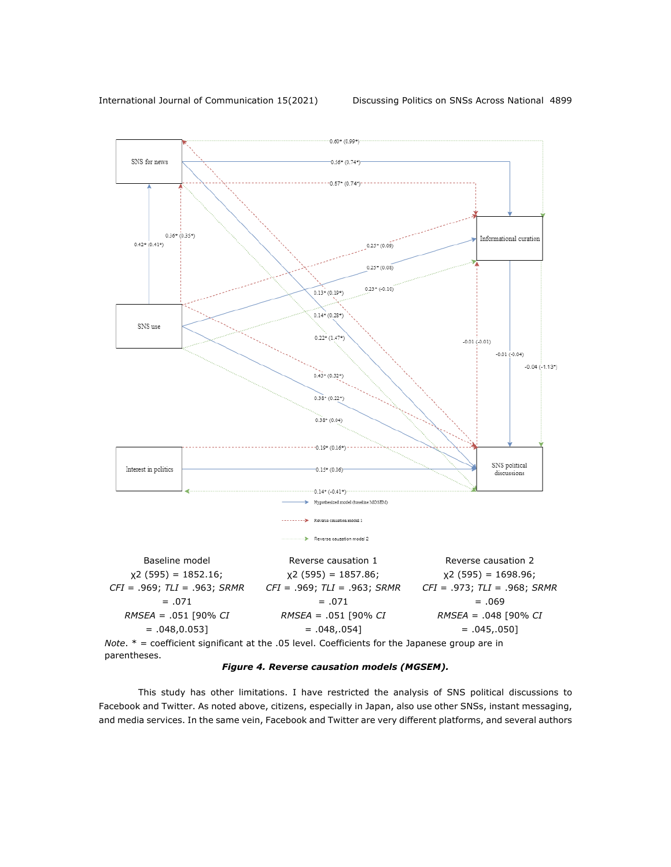



This study has other limitations. I have restricted the analysis of SNS political discussions to Facebook and Twitter. As noted above, citizens, especially in Japan, also use other SNSs, instant messaging, and media services. In the same vein, Facebook and Twitter are very different platforms, and several authors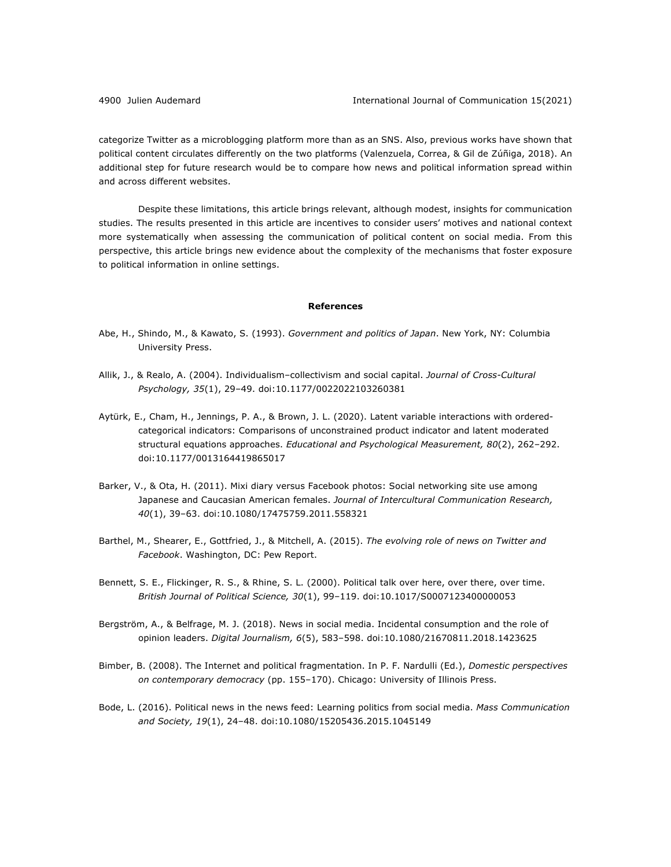categorize Twitter as a microblogging platform more than as an SNS. Also, previous works have shown that political content circulates differently on the two platforms (Valenzuela, Correa, & Gil de Zúñiga, 2018). An additional step for future research would be to compare how news and political information spread within and across different websites.

Despite these limitations, this article brings relevant, although modest, insights for communication studies. The results presented in this article are incentives to consider users' motives and national context more systematically when assessing the communication of political content on social media. From this perspective, this article brings new evidence about the complexity of the mechanisms that foster exposure to political information in online settings.

#### **References**

- Abe, H., Shindo, M., & Kawato, S. (1993). *Government and politics of Japan*. New York, NY: Columbia University Press.
- Allik, J., & Realo, A. (2004). Individualism–collectivism and social capital. *Journal of Cross-Cultural Psychology, 35*(1), 29–49. doi:10.1177/0022022103260381
- Aytürk, E., Cham, H., Jennings, P. A., & Brown, J. L. (2020). Latent variable interactions with orderedcategorical indicators: Comparisons of unconstrained product indicator and latent moderated structural equations approaches. *Educational and Psychological Measurement, 80*(2), 262–292. doi:10.1177/0013164419865017
- Barker, V., & Ota, H. (2011). Mixi diary versus Facebook photos: Social networking site use among Japanese and Caucasian American females. *Journal of Intercultural Communication Research, 40*(1), 39–63. doi:10.1080/17475759.2011.558321
- Barthel, M., Shearer, E., Gottfried, J., & Mitchell, A. (2015). *The evolving role of news on Twitter and Facebook*. Washington, DC: Pew Report.
- Bennett, S. E., Flickinger, R. S., & Rhine, S. L. (2000). Political talk over here, over there, over time. *British Journal of Political Science, 30*(1), 99–119. doi:10.1017/S0007123400000053
- Bergström, A., & Belfrage, M. J. (2018). News in social media. Incidental consumption and the role of opinion leaders. *Digital Journalism, 6*(5), 583–598. doi:10.1080/21670811.2018.1423625
- Bimber, B. (2008). The Internet and political fragmentation. In P. F. Nardulli (Ed.), *Domestic perspectives on contemporary democracy* (pp. 155–170). Chicago: University of Illinois Press.
- Bode, L. (2016). Political news in the news feed: Learning politics from social media. *Mass Communication and Society, 19*(1), 24–48. doi:10.1080/15205436.2015.1045149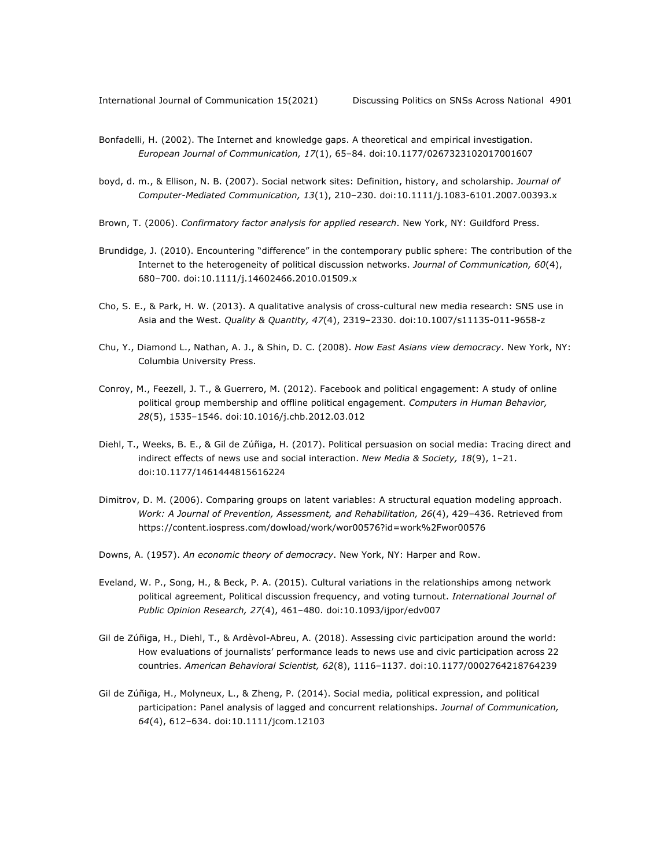- Bonfadelli, H. (2002). The Internet and knowledge gaps. A theoretical and empirical investigation. *European Journal of Communication, 17*(1), 65–84. doi:10.1177/0267323102017001607
- boyd, d. m., & Ellison, N. B. (2007). Social network sites: Definition, history, and scholarship. *Journal of Computer-Mediated Communication, 13*(1), 210–230. doi:10.1111/j.1083-6101.2007.00393.x
- Brown, T. (2006). *Confirmatory factor analysis for applied research*. New York, NY: Guildford Press.
- Brundidge, J. (2010). Encountering "difference" in the contemporary public sphere: The contribution of the Internet to the heterogeneity of political discussion networks. *Journal of Communication, 60*(4), 680–700. doi:10.1111/j.14602466.2010.01509.x
- Cho, S. E., & Park, H. W. (2013). A qualitative analysis of cross-cultural new media research: SNS use in Asia and the West. *Quality & Quantity, 47*(4), 2319–2330. doi:10.1007/s11135-011-9658-z
- Chu, Y., Diamond L., Nathan, A. J., & Shin, D. C. (2008). *How East Asians view democracy*. New York, NY: Columbia University Press.
- Conroy, M., Feezell, J. T., & Guerrero, M. (2012). Facebook and political engagement: A study of online political group membership and offline political engagement. *Computers in Human Behavior, 28*(5), 1535–1546. doi:10.1016/j.chb.2012.03.012
- Diehl, T., Weeks, B. E., & Gil de Zúñiga, H. (2017). Political persuasion on social media: Tracing direct and indirect effects of news use and social interaction. *New Media & Society, 18*(9), 1–21. doi:10.1177/1461444815616224
- Dimitrov, D. M. (2006). Comparing groups on latent variables: A structural equation modeling approach. *Work: A Journal of Prevention, Assessment, and Rehabilitation, 26*(4), 429–436. Retrieved from https://content.iospress.com/dowload/work/wor00576?id=work%2Fwor00576
- Downs, A. (1957). *An economic theory of democracy*. New York, NY: Harper and Row.
- Eveland, W. P., Song, H., & Beck, P. A. (2015). Cultural variations in the relationships among network political agreement, Political discussion frequency, and voting turnout. *International Journal of Public Opinion Research, 27*(4), 461–480. doi:10.1093/ijpor/edv007
- Gil de Zúñiga, H., Diehl, T., & Ardèvol-Abreu, A. (2018). Assessing civic participation around the world: How evaluations of journalists' performance leads to news use and civic participation across 22 countries. *American Behavioral Scientist, 62*(8), 1116–1137. doi:10.1177/0002764218764239
- Gil de Zúñiga, H., Molyneux, L., & Zheng, P. (2014). Social media, political expression, and political participation: Panel analysis of lagged and concurrent relationships. *Journal of Communication, 64*(4), 612–634. doi:10.1111/jcom.12103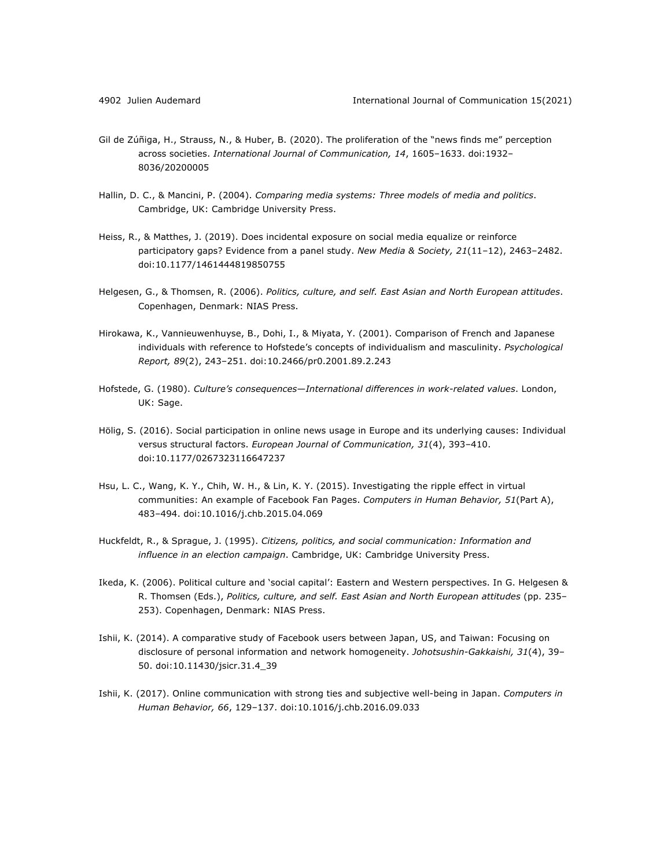- Gil de Zúñiga, H., Strauss, N., & Huber, B. (2020). The proliferation of the "news finds me" perception across societies. *International Journal of Communication, 14*, 1605–1633. doi:1932– 8036/20200005
- Hallin, D. C., & Mancini, P. (2004). *Comparing media systems: Three models of media and politics*. Cambridge, UK: Cambridge University Press.
- Heiss, R., & Matthes, J. (2019). Does incidental exposure on social media equalize or reinforce participatory gaps? Evidence from a panel study. *New Media & Society, 21*(11–12), 2463–2482. doi:10.1177/1461444819850755
- Helgesen, G., & Thomsen, R. (2006). *Politics, culture, and self. East Asian and North European attitudes*. Copenhagen, Denmark: NIAS Press.
- Hirokawa, K., Vannieuwenhuyse, B., Dohi, I., & Miyata, Y. (2001). Comparison of French and Japanese individuals with reference to Hofstede's concepts of individualism and masculinity. *Psychological Report, 89*(2), 243–251. doi:10.2466/pr0.2001.89.2.243
- Hofstede, G. (1980). *Culture's consequences—International differences in work-related values*. London, UK: Sage.
- Hölig, S. (2016). Social participation in online news usage in Europe and its underlying causes: Individual versus structural factors. *European Journal of Communication, 31*(4), 393–410. doi:10.1177/0267323116647237
- Hsu, L. C., Wang, K. Y., Chih, W. H., & Lin, K. Y. (2015). Investigating the ripple effect in virtual communities: An example of Facebook Fan Pages. *Computers in Human Behavior, 51*(Part A), 483–494. doi:10.1016/j.chb.2015.04.069
- Huckfeldt, R., & Sprague, J. (1995). *Citizens, politics, and social communication: Information and influence in an election campaign*. Cambridge, UK: Cambridge University Press.
- Ikeda, K. (2006). Political culture and 'social capital': Eastern and Western perspectives. In G. Helgesen & R. Thomsen (Eds.), *Politics, culture, and self. East Asian and North European attitudes* (pp. 235– 253). Copenhagen, Denmark: NIAS Press.
- Ishii, K. (2014). A comparative study of Facebook users between Japan, US, and Taiwan: Focusing on disclosure of personal information and network homogeneity. *Johotsushin-Gakkaishi, 31*(4), 39– 50. doi:10.11430/jsicr.31.4\_39
- Ishii, K. (2017). Online communication with strong ties and subjective well-being in Japan. *Computers in Human Behavior, 66*, 129–137. doi:10.1016/j.chb.2016.09.033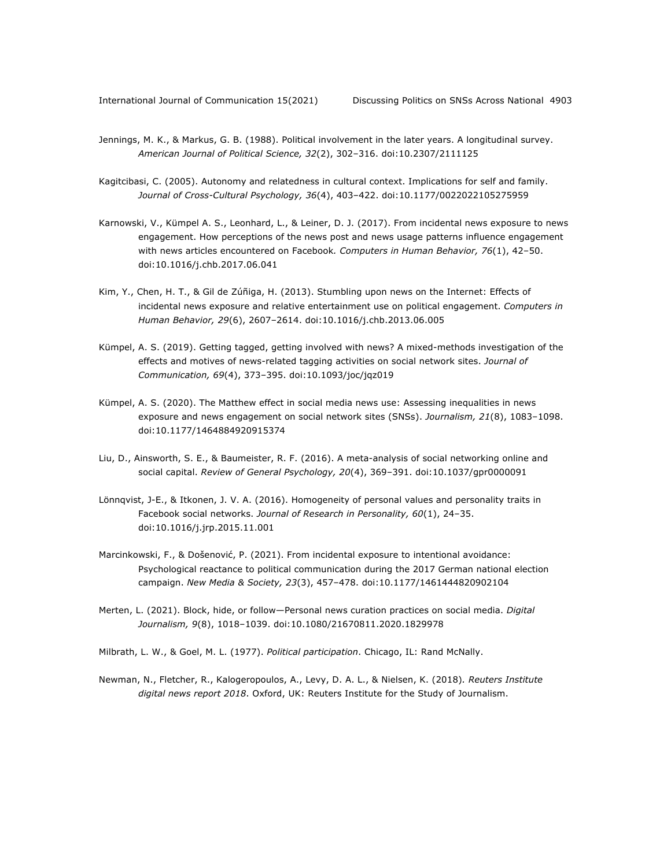- Jennings, M. K., & Markus, G. B. (1988). Political involvement in the later years. A longitudinal survey. *American Journal of Political Science, 32*(2), 302–316. doi:10.2307/2111125
- Kagitcibasi, C. (2005). Autonomy and relatedness in cultural context. Implications for self and family. *Journal of Cross-Cultural Psychology, 36*(4), 403–422. doi:10.1177/0022022105275959
- Karnowski, V., Kümpel A. S., Leonhard, L., & Leiner, D. J. (2017). From incidental news exposure to news engagement. How perceptions of the news post and news usage patterns influence engagement with news articles encountered on Facebook*. Computers in Human Behavior, 76*(1), 42–50. doi:10.1016/j.chb.2017.06.041
- Kim, Y., Chen, H. T., & Gil de Zúñiga, H. (2013). Stumbling upon news on the Internet: Effects of incidental news exposure and relative entertainment use on political engagement. *Computers in Human Behavior, 29*(6), 2607–2614. doi:10.1016/j.chb.2013.06.005
- Kümpel, A. S. (2019). Getting tagged, getting involved with news? A mixed-methods investigation of the effects and motives of news-related tagging activities on social network sites. *Journal of Communication, 69*(4), 373–395. doi:10.1093/joc/jqz019
- Kümpel, A. S. (2020). The Matthew effect in social media news use: Assessing inequalities in news exposure and news engagement on social network sites (SNSs). *Journalism, 21*(8), 1083–1098. doi:10.1177/1464884920915374
- Liu, D., Ainsworth, S. E., & Baumeister, R. F. (2016). A meta-analysis of social networking online and social capital. *Review of General Psychology, 20*(4), 369–391. doi:10.1037/gpr0000091
- Lönnqvist, J-E., & Itkonen, J. V. A. (2016). Homogeneity of personal values and personality traits in Facebook social networks. *Journal of Research in Personality, 60*(1), 24–35. doi:10.1016/j.jrp.2015.11.001
- Marcinkowski, F., & Došenović, P. (2021). From incidental exposure to intentional avoidance: Psychological reactance to political communication during the 2017 German national election campaign. *New Media & Society, 23*(3), 457–478. doi:10.1177/1461444820902104
- Merten, L. (2021). Block, hide, or follow—Personal news curation practices on social media. *Digital Journalism, 9*(8), 1018–1039. doi:10.1080/21670811.2020.1829978
- Milbrath, L. W., & Goel, M. L. (1977). *Political participation*. Chicago, IL: Rand McNally.
- Newman, N., Fletcher, R., Kalogeropoulos, A., Levy, D. A. L., & Nielsen, K. (2018)*. Reuters Institute digital news report 2018*. Oxford, UK: Reuters Institute for the Study of Journalism.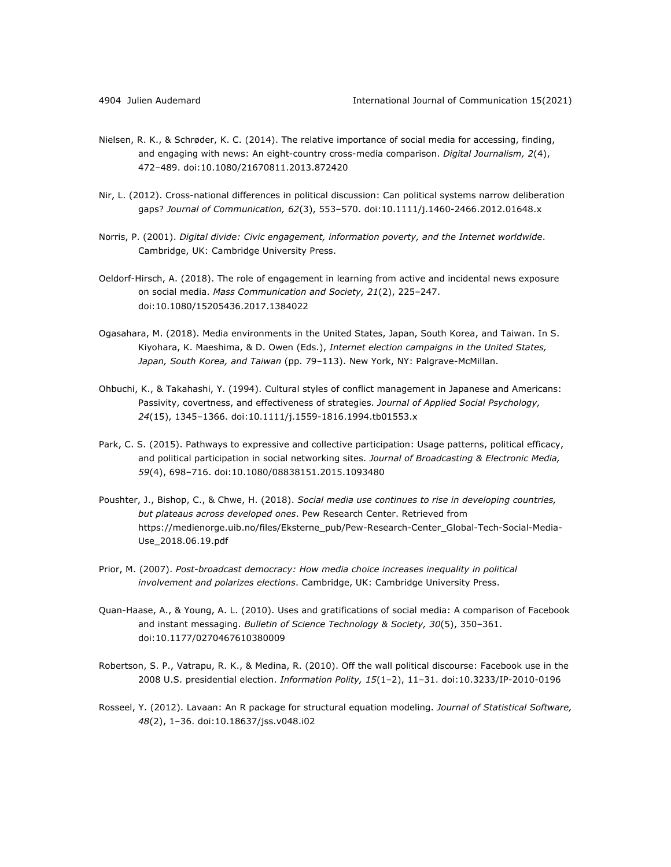- Nielsen, R. K., & Schrøder, K. C. (2014). The relative importance of social media for accessing, finding, and engaging with news: An eight-country cross-media comparison. *Digital Journalism, 2*(4), 472–489. doi:10.1080/21670811.2013.872420
- Nir, L. (2012). Cross-national differences in political discussion: Can political systems narrow deliberation gaps? *Journal of Communication, 62*(3), 553–570. doi:10.1111/j.1460-2466.2012.01648.x
- Norris, P. (2001). *Digital divide: Civic engagement, information poverty, and the Internet worldwide*. Cambridge, UK: Cambridge University Press.
- Oeldorf-Hirsch, A. (2018). The role of engagement in learning from active and incidental news exposure on social media. *Mass Communication and Society, 21*(2), 225–247. doi:10.1080/15205436.2017.1384022
- Ogasahara, M. (2018). Media environments in the United States, Japan, South Korea, and Taiwan. In S. Kiyohara, K. Maeshima, & D. Owen (Eds.), *Internet election campaigns in the United States, Japan, South Korea, and Taiwan* (pp. 79–113). New York, NY: Palgrave-McMillan.
- Ohbuchi, K., & Takahashi, Y. (1994). Cultural styles of conflict management in Japanese and Americans: Passivity, covertness, and effectiveness of strategies. *Journal of Applied Social Psychology, 24*(15), 1345–1366. doi:10.1111/j.1559-1816.1994.tb01553.x
- Park, C. S. (2015). Pathways to expressive and collective participation: Usage patterns, political efficacy, and political participation in social networking sites. *Journal of Broadcasting & Electronic Media, 59*(4), 698–716. doi:10.1080/08838151.2015.1093480
- Poushter, J., Bishop, C., & Chwe, H. (2018). *Social media use continues to rise in developing countries, but plateaus across developed ones*. Pew Research Center. Retrieved from https://medienorge.uib.no/files/Eksterne\_pub/Pew-Research-Center\_Global-Tech-Social-Media-Use\_2018.06.19.pdf
- Prior, M. (2007). *Post-broadcast democracy: How media choice increases inequality in political involvement and polarizes elections*. Cambridge, UK: Cambridge University Press.
- Quan-Haase, A., & Young, A. L. (2010). Uses and gratifications of social media: A comparison of Facebook and instant messaging. *Bulletin of Science Technology & Society, 30*(5), 350–361. doi:10.1177/0270467610380009
- Robertson, S. P., Vatrapu, R. K., & Medina, R. (2010). Off the wall political discourse: Facebook use in the 2008 U.S. presidential election. *Information Polity, 15*(1–2), 11–31. doi:10.3233/IP-2010-0196
- Rosseel, Y. (2012). Lavaan: An R package for structural equation modeling. *Journal of Statistical Software, 48*(2), 1–36. doi:10.18637/jss.v048.i02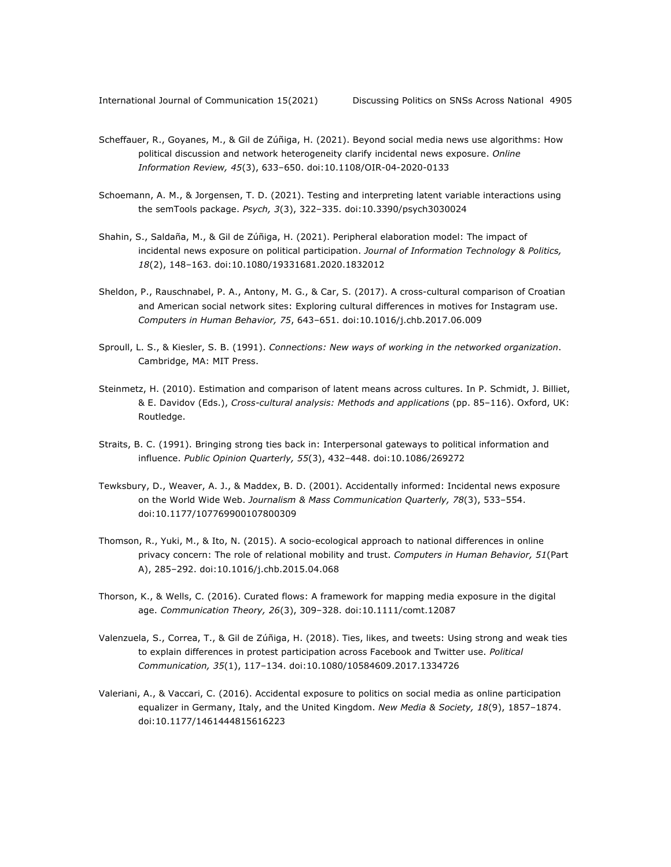- Scheffauer, R., Goyanes, M., & Gil de Zúñiga, H. (2021). Beyond social media news use algorithms: How political discussion and network heterogeneity clarify incidental news exposure. *Online Information Review, 45*(3), 633–650. doi:10.1108/OIR-04-2020-0133
- Schoemann, A. M., & Jorgensen, T. D. (2021). Testing and interpreting latent variable interactions using the semTools package. *Psych, 3*(3), 322–335. doi:10.3390/psych3030024
- Shahin, S., Saldaña, M., & Gil de Zúñiga, H. (2021). Peripheral elaboration model: The impact of incidental news exposure on political participation. *Journal of Information Technology & Politics, 18*(2), 148–163. doi:10.1080/19331681.2020.1832012
- Sheldon, P., Rauschnabel, P. A., Antony, M. G., & Car, S. (2017). A cross-cultural comparison of Croatian and American social network sites: Exploring cultural differences in motives for Instagram use. *Computers in Human Behavior, 75*, 643–651. doi:10.1016/j.chb.2017.06.009
- Sproull, L. S., & Kiesler, S. B. (1991). *Connections: New ways of working in the networked organization*. Cambridge, MA: MIT Press.
- Steinmetz, H. (2010). Estimation and comparison of latent means across cultures. In P. Schmidt, J. Billiet, & E. Davidov (Eds.), *Cross-cultural analysis: Methods and applications* (pp. 85–116). Oxford, UK: Routledge.
- Straits, B. C. (1991). Bringing strong ties back in: Interpersonal gateways to political information and influence. *Public Opinion Quarterly, 55*(3), 432–448. doi:10.1086/269272
- Tewksbury, D., Weaver, A. J., & Maddex, B. D. (2001). Accidentally informed: Incidental news exposure on the World Wide Web. *Journalism & Mass Communication Quarterly, 78*(3), 533–554. doi:10.1177/107769900107800309
- Thomson, R., Yuki, M., & Ito, N. (2015). A socio-ecological approach to national differences in online privacy concern: The role of relational mobility and trust. *Computers in Human Behavior, 51*(Part A), 285–292. doi:10.1016/j.chb.2015.04.068
- Thorson, K., & Wells, C. (2016). Curated flows: A framework for mapping media exposure in the digital age. *Communication Theory, 26*(3), 309–328. doi:10.1111/comt.12087
- Valenzuela, S., Correa, T., & Gil de Zúñiga, H. (2018). Ties, likes, and tweets: Using strong and weak ties to explain differences in protest participation across Facebook and Twitter use. *Political Communication, 35*(1), 117–134. doi:10.1080/10584609.2017.1334726
- Valeriani, A., & Vaccari, C. (2016). Accidental exposure to politics on social media as online participation equalizer in Germany, Italy, and the United Kingdom. *New Media & Society, 18*(9), 1857–1874. doi:10.1177/1461444815616223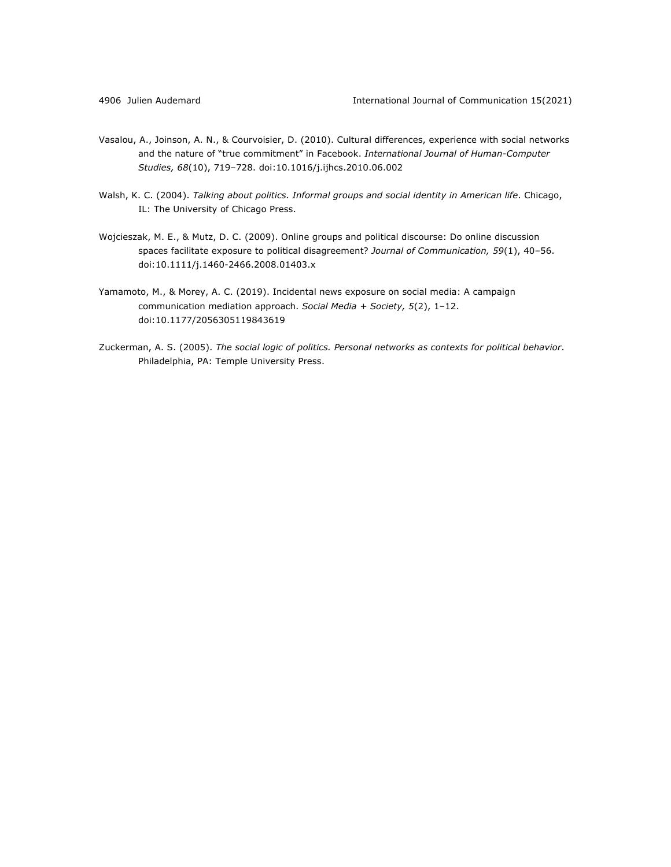- Vasalou, A., Joinson, A. N., & Courvoisier, D. (2010). Cultural differences, experience with social networks and the nature of "true commitment" in Facebook. *International Journal of Human-Computer Studies, 68*(10), 719–728. doi:10.1016/j.ijhcs.2010.06.002
- Walsh, K. C. (2004). *Talking about politics. Informal groups and social identity in American life*. Chicago, IL: The University of Chicago Press.
- Wojcieszak, M. E., & Mutz, D. C. (2009). Online groups and political discourse: Do online discussion spaces facilitate exposure to political disagreement? *Journal of Communication, 59*(1), 40–56. doi:10.1111/j.1460-2466.2008.01403.x
- Yamamoto, M., & Morey, A. C. (2019). Incidental news exposure on social media: A campaign communication mediation approach. *Social Media + Society, 5*(2), 1–12. doi:10.1177/2056305119843619
- Zuckerman, A. S. (2005). *The social logic of politics. Personal networks as contexts for political behavior*. Philadelphia, PA: Temple University Press.